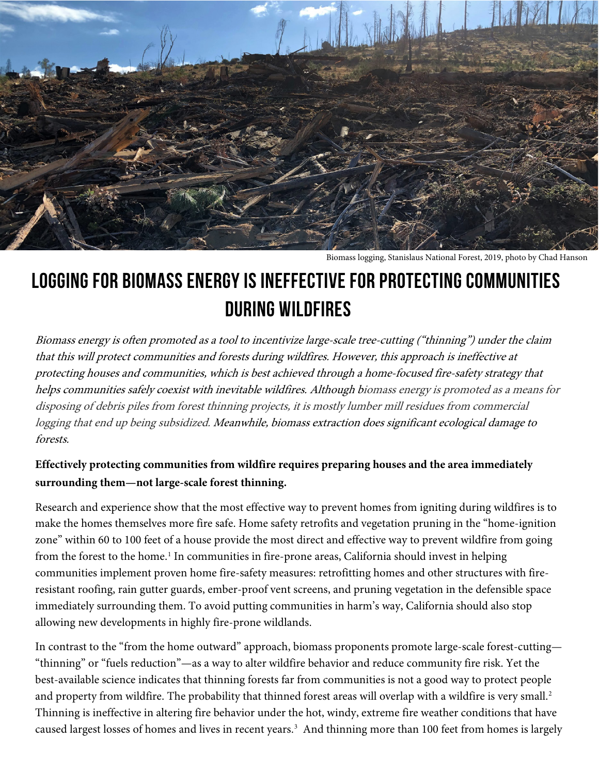

Biomass logging, Stanislaus National Forest, 2019, photo by Chad Hanson

# **Logging for biomass Energy Is Ineffective for Protecting Communities during Wildfires**

Biomass energy is often promoted as a tool to incentivize large-scale tree-cutting ("thinning") under the claim that this will protect communities and forests during wildfires. However, this approach is ineffective at protecting houses and communities, which is best achieved through a home-focused fire-safety strategy that helps communities safely coexist with inevitable wildfires. Although biomass energy is promoted as a means for disposing of debris piles from forest thinning projects, it is mostly lumber mill residues from commercial logging that end up being subsidized. Meanwhile, biomass extraction does significant ecological damage to forests.

## **Effectively protecting communities from wildfire requires preparing houses and the area immediately surrounding them—not large-scale forest thinning.**

Research and experience show that the most effective way to prevent homes from igniting during wildfires is to make the homes themselves more fire safe. Home safety retrofits and vegetation pruning in the "home-ignition zone" within 60 to 100 feet of a house provide the most direct and effective way to prevent wildfire from going from the forest to the home.<sup>[1](#page-2-0)</sup> In communities in fire-prone areas, California should invest in helping communities implement proven home fire-safety measures: retrofitting homes and other structures with fireresistant roofing, rain gutter guards, ember-proof vent screens, and pruning vegetation in the defensible space immediately surrounding them. To avoid putting communities in harm's way, California should also stop allowing new developments in highly fire-prone wildlands.

In contrast to the "from the home outward" approach, biomass proponents promote large-scale forest-cutting— "thinning" or "fuels reduction"—as a way to alter wildfire behavior and reduce community fire risk. Yet the best-available science indicates that thinning forests far from communities is not a good way to protect people and property from wildfire. The probability that thinned forest areas will overlap with a wildfire is very small. [2](#page-2-1) Thinning is ineffective in altering fire behavior under the hot, windy, extreme fire weather conditions that have caused largest losses of homes and lives in recent years.<sup>[3](#page-2-2)</sup> And thinning more than 100 feet from homes is largely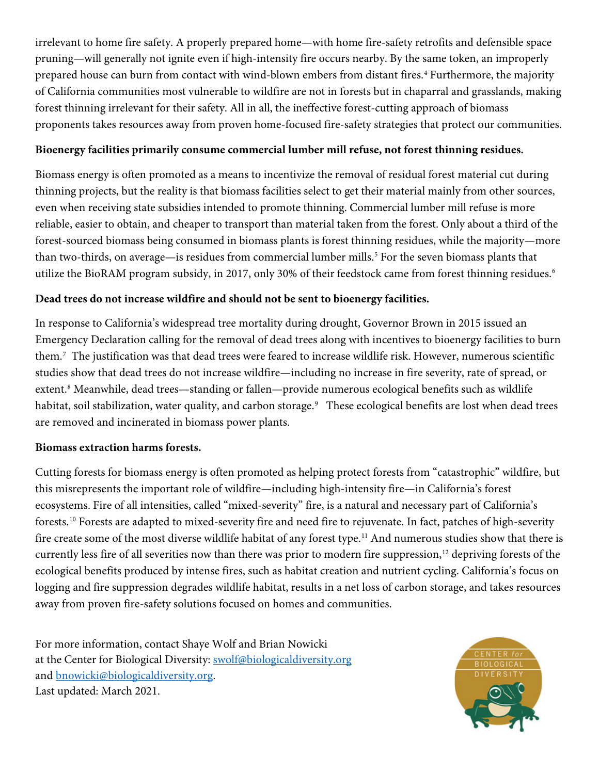irrelevant to home fire safety. A properly prepared home—with home fire-safety retrofits and defensible space pruning—will generally not ignite even if high-intensity fire occurs nearby. By the same token, an improperly prepared house can burn from contact with wind-blown embers from distant fires.<sup>[4](#page-2-3)</sup> Furthermore, the majority of California communities most vulnerable to wildfire are not in forests but in chaparral and grasslands, making forest thinning irrelevant for their safety. All in all, the ineffective forest-cutting approach of biomass proponents takes resources away from proven home-focused fire-safety strategies that protect our communities.

#### **Bioenergy facilities primarily consume commercial lumber mill refuse, not forest thinning residues.**

Biomass energy is often promoted as a means to incentivize the removal of residual forest material cut during thinning projects, but the reality is that biomass facilities select to get their material mainly from other sources, even when receiving state subsidies intended to promote thinning. Commercial lumber mill refuse is more reliable, easier to obtain, and cheaper to transport than material taken from the forest. Only about a third of the forest-sourced biomass being consumed in biomass plants is forest thinning residues, while the majority—more than two-thirds, on average—is residues from commercial lumber mills.<sup>[5](#page-2-4)</sup> For the seven biomass plants that utilize the BioRAM program subsidy, in 2017, only 30% of their feedstock came from forest thinning residues.<sup>6</sup>

### **Dead trees do not increase wildfire and should not be sent to bioenergy facilities.**

In response to California's widespread tree mortality during drought, Governor Brown in 2015 issued an Emergency Declaration calling for the removal of dead trees along with incentives to bioenergy facilities to burn them.[7](#page-2-6) The justification was that dead trees were feared to increase wildlife risk. However, numerous scientific studies show that dead trees do not increase wildfire—including no increase in fire severity, rate of spread, or extent.<sup>[8](#page-2-7)</sup> Meanwhile, dead trees—standing or fallen—provide numerous ecological benefits such as wildlife habitat, soil stabilization, water quality, and carbon storage. [9](#page-2-8) These ecological benefits are lost when dead trees are removed and incinerated in biomass power plants.

#### **Biomass extraction harms forests.**

Cutting forests for biomass energy is often promoted as helping protect forests from "catastrophic" wildfire, but this misrepresents the important role of wildfire—including high-intensity fire—in California's forest ecosystems. Fire of all intensities, called "mixed-severity" fire, is a natural and necessary part of California's forests.[10](#page-2-9) Forests are adapted to mixed-severity fire and need fire to rejuvenate. In fact, patches of high-severity fire create some of the most diverse wildlife habitat of any forest type.<sup>11</sup> And numerous studies show that there is currently less fire of all severities now than there was prior to modern fire suppression,<sup>[12](#page-2-11)</sup> depriving forests of the ecological benefits produced by intense fires, such as habitat creation and nutrient cycling. California's focus on logging and fire suppression degrades wildlife habitat, results in a net loss of carbon storage, and takes resources away from proven fire-safety solutions focused on homes and communities.

For more information, contact Shaye Wolf and Brian Nowicki at the Center for Biological Diversity: [swolf@biologicaldiversity.org](mailto:swolf@biologicaldiversity.org) and **bnowicki@biologicaldiversity.org**. Last updated: March 2021.